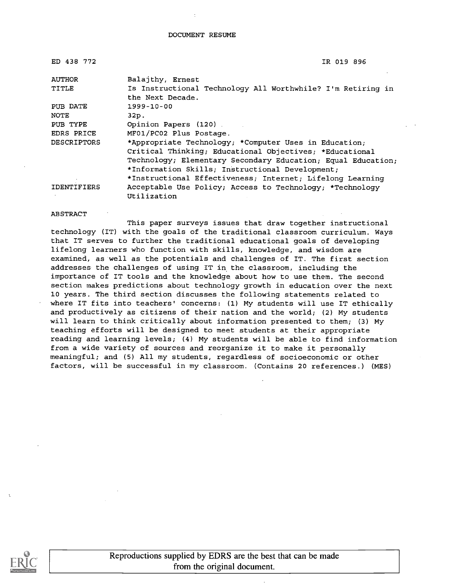ED 438 772 **IR 019 896** 

| <b>AUTHOR</b>      | Balajthy, Ernest                                             |
|--------------------|--------------------------------------------------------------|
| TITLE              | Is Instructional Technology All Worthwhile? I'm Retiring in  |
|                    | the Next Decade.                                             |
| PUB DATE           | $1999 - 10 - 00$                                             |
| NOTE               | 32p.                                                         |
| PUB TYPE           | Opinion Papers (120)                                         |
| EDRS PRICE         | MF01/PC02 Plus Postage.                                      |
| <b>DESCRIPTORS</b> | *Appropriate Technology; *Computer Uses in Education;        |
|                    | Critical Thinking; Educational Objectives; *Educational      |
|                    | Technology; Elementary Secondary Education; Equal Education; |
|                    | *Information Skills; Instructional Development;              |
|                    | *Instructional Effectiveness; Internet; Lifelong Learning    |
| <b>IDENTIFIERS</b> | Acceptable Use Policy; Access to Technology; *Technology     |
|                    | Utilization                                                  |

ABSTRACT

This paper surveys issues that draw together instructional technology (IT) with the goals of the traditional classroom curriculum. Ways that IT serves to further the traditional educational goals of developing lifelong learners who function with skills, knowledge, and wisdom are examined, as well as the potentials and challenges of IT. The first section addresses the challenges of using IT in the classroom, including the importance of IT tools and the knowledge about how to use them. The second section makes predictions about technology growth in education over the next 10 years. The third section discusses the following statements related to where IT fits into teachers' concerns: (1) My students will use IT ethically and productively as citizens of their nation and the world; (2) My students will learn to think critically about information presented to them; (3) My teaching efforts will be designed to meet students at their appropriate reading and learning levels; (4) My students will be able to find information from a wide variety of sources and reorganize it to make it personally meaningful; and (5) All my students, regardless of socioeconomic or other factors, will be successful in my classroom. (Contains 20 references.) (MES)

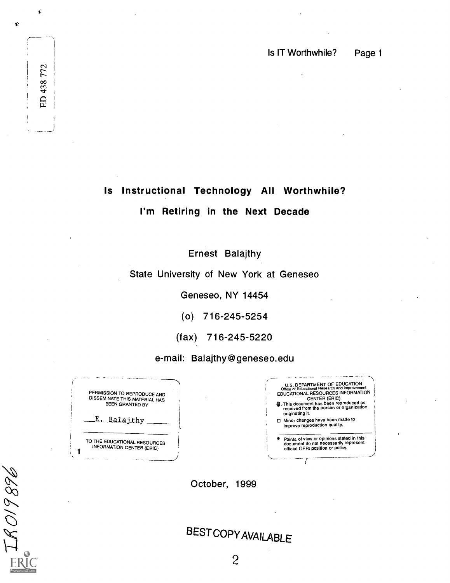# Is Instructional Technology All Worthwhile?

### I'm Retiring in the Next Decade

Ernest Balajthy

### State University of New York at Geneseo

Geneseo, NY 14454

(o) 716-245-5254

(fax) 716-245-5220

e-mail: Balajthy@geneseo.edu

PERMISSION TO REPRODUCE AND DISSEMINATE THIS MATERIAL HAS BEEN GRANTED BY E. Balajthy TO THE EDUCATIONAL RESOURCES INFORMATION CENTER (ERIC)

1

IRO19896

 $\frac{1}{2}$ 

00

 $\overline{BD}$ 

 $\overrightarrow{\bullet}$ 

 $\pmb{\psi}$ 



October, 1999

BESTCOPYAVAILABLE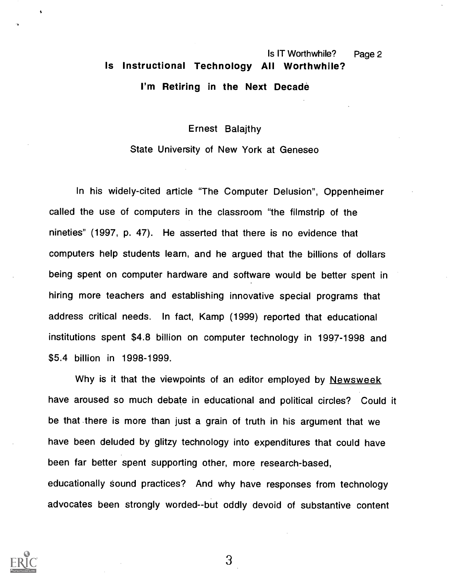# Is IT Worthwhile? Page 2 Is Instructional Technology All Worthwhile? I'm Retiring in the Next Decade

Ernest Balajthy

State University of New York at Geneseo

In his widely-cited article "The Computer Delusion", Oppenheimer called the use of computers in the classroom "the filmstrip of the nineties" (1997, p. 47). He asserted that there is no evidence that computers help students learn, and he argued that the billions of dollars being spent on computer hardware and software would be better spent in hiring more teachers and establishing innovative special programs that address critical needs. In fact, Kamp (1999) reported that educational institutions spent \$4.8 billion on computer technology in 1997-1998 and \$5.4 billion in 1998-1999.

Why is it that the viewpoints of an editor employed by Newsweek have aroused so much debate in educational and political circles? Could it be that .there is more than just a grain of truth in his argument that we have been deluded by glitzy technology into expenditures that could have been far better spent supporting other, more research-based, educationally sound practices? And why have responses from technology advocates been strongly worded--but oddly devoid of substantive content

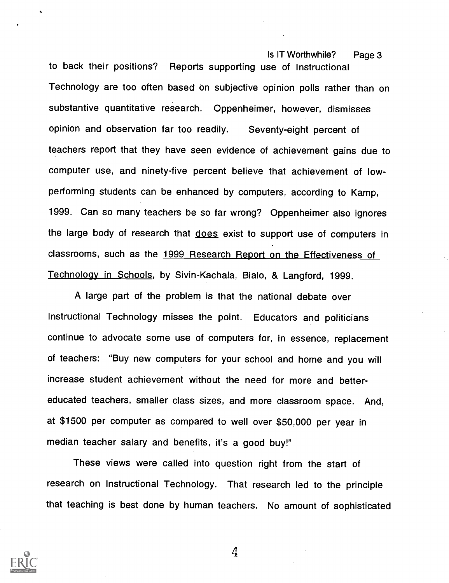Is IT Worthwhile? Page 3 to back their positions? Reports supporting use of Instructional Technology are too often based on subjective opinion polls rather than on substantive quantitative research. Oppenheimer, however, dismisses opinion and observation far too readily. Seventy-eight percent of teachers report that they have seen evidence of achievement gains due to computer use, and ninety-five percent believe that achievement of lowperforming students can be enhanced by computers, according to Kamp, 1999. Can so many teachers be so far wrong? Oppenheimer also ignores the large body of research that does exist to support use of computers in classrooms, such as the 1999 Research Report on the Effectiveness of Technology in Schools, by Sivin-Kachala, Bialo, & Langford, 1999.

A large part of the problem is that the national debate over Instructional Technology misses the point. Educators and politicians continue to advocate some use of computers for, in essence, replacement of teachers: "Buy new computers for your school and home and you will increase student achievement without the need for more and bettereducated teachers, smaller class sizes, and more classroom space. And, at \$1500 per computer as compared to well over \$50,000 per year in median teacher salary and benefits, it's a good buy!"

These views were called into question right from the start of research on Instructional Technology. That research led to the principle that teaching is best done by human teachers. No amount of sophisticated

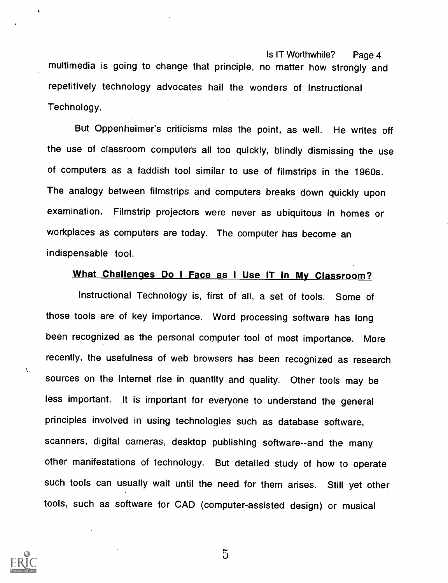Is IT Worthwhile? Page 4 multimedia is going to change that principle, no matter how strongly and repetitively technology advocates hail the wonders of Instructional Technology.

But Oppenheimer's criticisms miss the point, as well. He writes off the use of classroom computers all too quickly, blindly dismissing the use of computers as a faddish tool similar to use of filmstrips in the 1960s. The analogy between filmstrips and computers breaks down quickly upon examination. Filmstrip projectors were never as ubiquitous in homes or workplaces as computers are today. The computer has become an indispensable tool.

#### What Challenges Do I Face as I Use IT in My Classroom?

Instructional Technology is, first of all, a set of tools. Some of those tools are of key importance. Word processing software has long been recognized as the personal computer tool of most importance. More recently, the usefulness of web browsers has been recognized as research sources on the Internet rise in quantity and quality. Other tools may be less important. It is important for everyone to understand the general principles involved in using technologies such as database software, scanners, digital cameras, desktop publishing software--and the many other manifestations of technology. But detailed study of how to operate such tools can usually wait until the need for them arises. Still yet other tools, such as software for CAD (computer-assisted design) or musical



 $\mathcal{L}$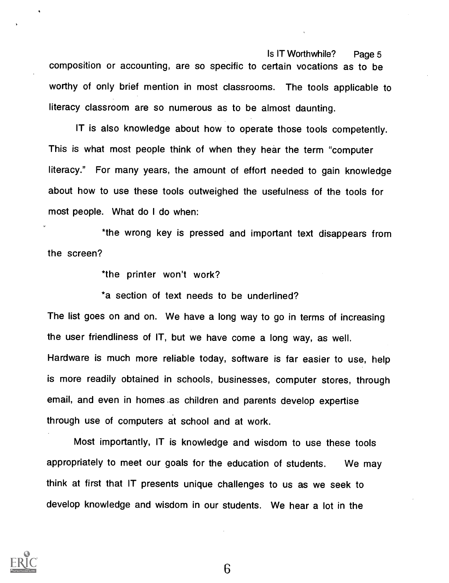Is IT Worthwhile? Page 5 composition or accounting, are so specific to certain vocations as to be worthy of only brief mention in most classrooms. The tools applicable to literacy classroom are so numerous as to be almost daunting.

IT is also knowledge about how to operate those tools competently. This is what most people think of when they hear the term "computer literacy." For many years, the amount of effort needed to gain knowledge about how to use these tools outweighed the usefulness of the tools for most people. What do I do when:

\*the wrong key is pressed and important text disappears from the screen?

\*the printer won't work?

\*a section of text needs to be underlined?

The list goes on and on. We have a long way to go in terms of increasing the user friendliness of IT, but we have come a long way, as well. Hardware is much more reliable today, software is far easier to use, help is more readily obtained in schools, businesses, computer stores, through email, and even in homes as children and parents develop expertise through use of computers at school and at work.

Most importantly, IT is knowledge and wisdom to use these tools appropriately to meet our goals for the education of students. We may think at first that IT presents unique challenges to us as we seek to develop knowledge and wisdom in our students. We hear a lot in the

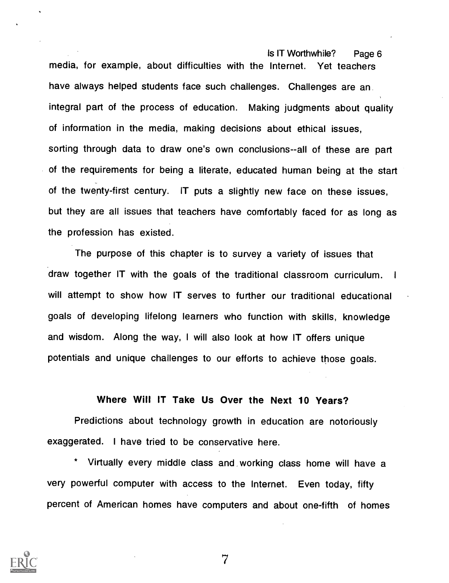Is IT Worthwhile? Page 6 media, for example, about difficulties with the Internet. Yet teachers have always helped students face such challenges. Challenges are an integral part of the process of education. Making judgments about quality of information in the media, making decisions about ethical issues, sorting through data to draw one's own conclusions--all of these are part of the requirements for being a literate, educated human being at the start of the twenty-first century. IT puts a slightly new face on these issues, but they are all issues that teachers have comfortably faced for as long as the profession has existed.

The purpose of this chapter is to survey a variety of issues that draw together IT with the goals of the traditional classroom curriculum. <sup>I</sup> will attempt to show how IT serves to further our traditional educational goals of developing lifelong learners who function with skills, knowledge and wisdom. Along the way, <sup>I</sup> will also look at how IT offers unique potentials and unique challenges to our efforts to achieve those goals.

#### Where Will IT Take Us Over the Next 10 Years?

Predictions about technology growth in education are notoriously exaggerated. I have tried to be conservative here.

Virtually every middle class and working class home will have a very powerful computer with access to the Internet. Even today, fifty percent of American homes have computers and about one-fifth of homes

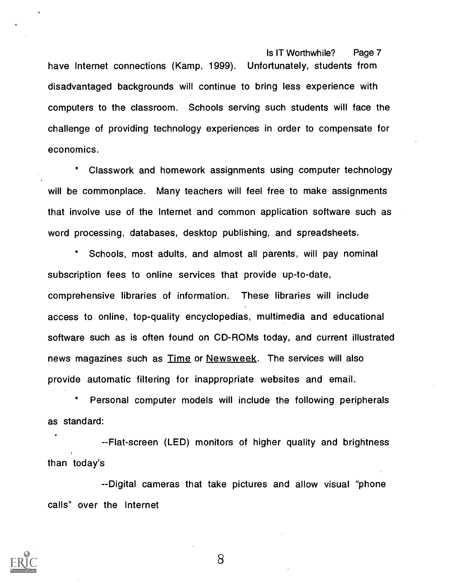have Internet connections (Kamp, 1999). Unfortunately, students from disadvantaged backgrounds will continue to bring less experience with computers to the classroom. Schools serving such students will face the challenge of providing technology experiences in order to compensate for economics.

Classwork and homework assignments using computer technology will be commonplace. Many teachers will feel free to make assignments that involve use of the Internet and common application software such as word processing, databases, desktop publishing, and spreadsheets.

Schools, most adults, and almost all parents, will pay nominal subscription fees to online services that provide up-to-date, comprehensive libraries of information. These libraries will include access to online, top-quality encyclopedias, multimedia and educational software such as is often found on CD-ROMs today, and current illustrated news magazines such as **Time or Newsweek**. The services will also provide automatic filtering for inappropriate websites and email.

Personal computer models will include the following peripherals as standard:

--Flat-screen (LED) monitors of higher quality and brightness than today's

--Digital cameras that take pictures and allow visual "phone calls" over the Internet

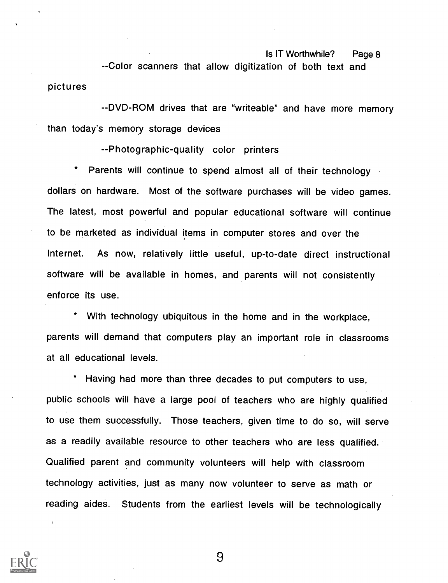--Color scanners that allow digitization of both text and pictures

--DVD-ROM drives that are "writeable" and have more memory than today's memory storage devices

--Photographic-quality color printers

Parents will continue to spend almost all of their technology dollars on hardware. Most of the software purchases will be video games. The latest, most powerful and popular educational software will continue to be marketed as individual items in computer stores and over the Internet. As now, relatively little useful, up-to-date direct instructional software will be available in homes, and parents will not consistently enforce its use.

With technology ubiquitous in the home and in the workplace, parents will demand that computers play an important role in classrooms at all educational levels.

\* Having had more than three decades to put computers to use, public schools will have a large pool of teachers who are highly qualified to use them successfully. Those teachers, given time to do so, will serve as a readily available resource to other teachers who are less qualified. Qualified parent and community volunteers will help with classroom technology activities, just as many now volunteer to serve as math or reading aides. Students from the earliest levels will be technologically

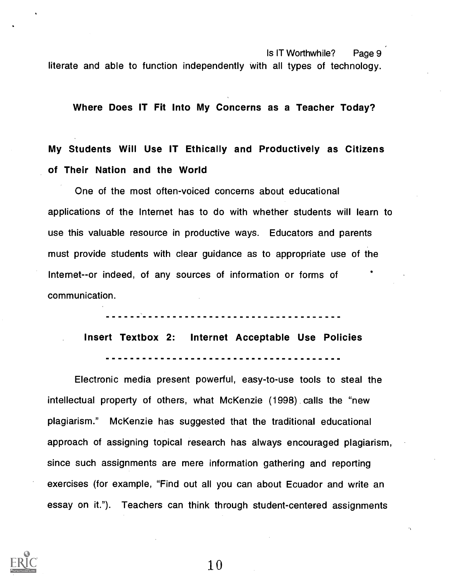Is IT Worthwhile? Page 9 literate and able to function independently with all types of technology.

Where Does IT Fit Into My Concerns as a Teacher Today?

# My Students Will Use IT Ethically and Productively as Citizens of Their Nation and the World

One of the most often-voiced concerns about educational applications of the Internet has to do with whether students will learn to use this valuable resource in productive ways. Educators and parents must provide students with clear guidance as to appropriate use of the Internet--or indeed, of any sources of information or forms of communication. o and a series of the series of the series of the series of the series of the series of the series of the series of the series of the series of the series of the series of the series of the series of the series of the seri

> .<br>............................. Insert Textbox 2: Internet Acceptable Use Policies ------------------------------

Electronic media present powerful, easy-to-use tools to steal the intellectual property of others, what McKenzie (1998) . calls the "new plagiarism." McKenzie has suggested that the traditional educational approach of assigning topical research has always encouraged plagiarism, since such assignments are mere information gathering and reporting exercises (for example, "Find out all you can about Ecuador and write an essay on it."). Teachers can think through student-centered assignments

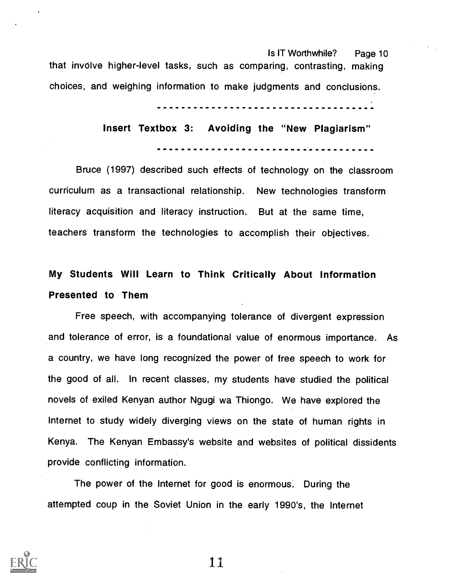Is IT Worthwhile? Page 10 that involve higher-level tasks, such as comparing, contrasting, making choices, and weighing information to make judgments and conclusions.

# Insert Textbox 3: Avoiding the "New Plagiarism"

Bruce (1997) described such effects of technology on the classroom curriculum as a transactional relationship. New technologies transform literacy acquisition and literacy instruction. But at the same time, teachers transform the technologies to accomplish their objectives.

# My Students Will Learn to Think Critically About Information Presented to Them

Free speech, with accompanying tolerance of divergent expression and tolerance of error, is a foundational value of enormous importance. As a country, we have long recognized the power of free speech to work for the good of all. In recent classes, my students have studied the political novels of exiled Kenyan author Ngugi wa Thiongo. We have explored the Internet to study widely diverging views on the state of human rights in Kenya. The Kenyan Embassy's website and websites of political dissidents provide conflicting information.

The power of the Internet for good is enormous. During the attempted coup in the Soviet Union in the early 1990's, the Internet

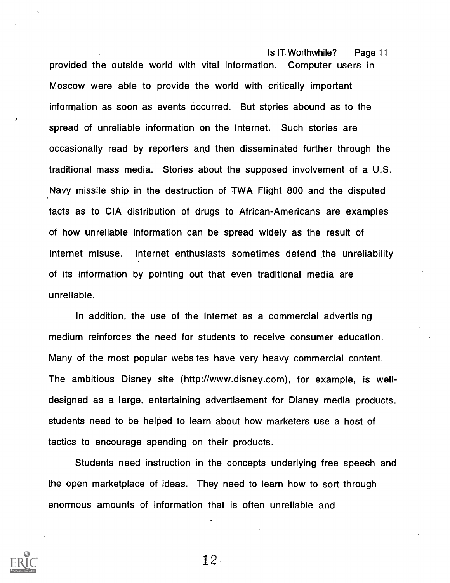Is IT. Worthwhile? Page 11 provided the outside world with vital information. Computer users in Moscow were able to provide the world with critically important information as soon as events occurred. But stories abound as to the spread of unreliable information on the Internet. Such stories are occasionally read by reporters and then disseminated further through the traditional mass media. Stories about the supposed involvement of a U.S. Navy missile ship in the destruction of TWA Flight 800 and the disputed facts as to CIA distribution of drugs to African-Americans are examples of how unreliable information can be spread widely as the result of Internet misuse. Internet enthusiasts sometimes defend the unreliability of its information by pointing out that even traditional media are unreliable.

In addition, the use of the Internet as a commercial advertising medium reinforces the need for students to receive consumer education. Many of the most popular websites have very heavy commercial content. The ambitious Disney site (http://www.disney.com), for example, is welldesigned as a large, entertaining advertisement for Disney media products. students need to be helped to learn about how marketers use a host of tactics to encourage spending on their products.

Students need instruction in the concepts underlying free speech and the open marketplace of ideas. They need to learn how to sort through enormous amounts of information that is often unreliable and

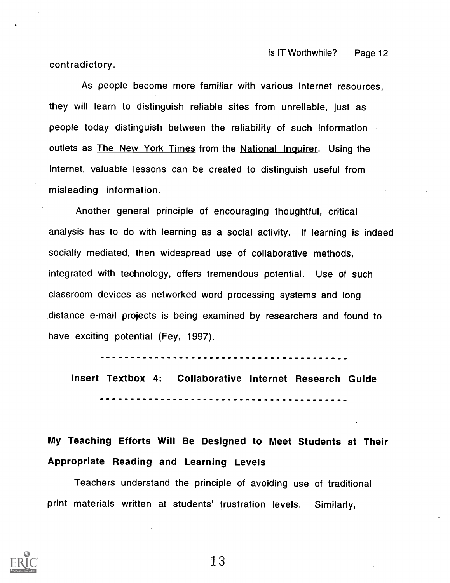contradictory.

As people become more familiar with various Internet resources, they will learn to distinguish reliable sites from unreliable, just as people today distinguish between the reliability of such information outlets as The New York Times from the National Inquirer. Using the Internet, valuable lessons can be created to distinguish useful from misleading information.

Another general principle of encouraging thoughtful, critical analysis has to do with learning as a social activity. If learning is indeed socially mediated, then widespread use of collaborative methods, integrated with technology, offers tremendous potential. Use of such classroom devices as networked word processing systems and long distance e-mail projects is being examined by researchers and found to have exciting potential (Fey, 1997).

Insert Textbox 4: Collaborative Internet Research Guide

# My Teaching Efforts Will Be Designed to Meet Students at Their Appropriate Reading and Learning Levels

Teachers understand the principle of avoiding use of traditional print materials written at students' frustration levels. Similarly,

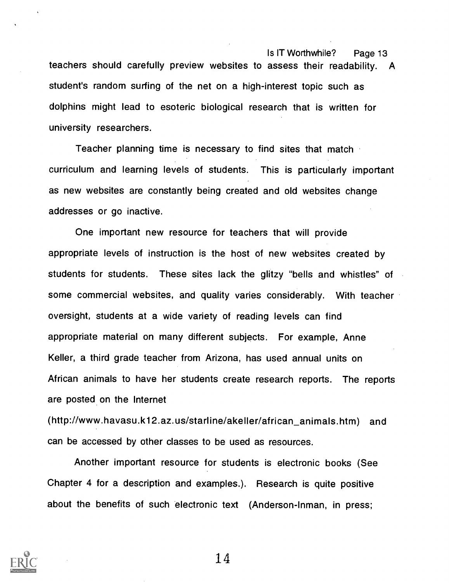teachers should carefully preview websites to assess their readability. A student's random surfing of the net on a high-interest topic such as dolphins might lead to esoteric biological research that is written for university researchers.

Teacher planning time is necessary to find sites that match curriculum and learning levels of students. This is particularly important as new websites are constantly being created and old websites change addresses or go inactive.

One important new resource for teachers that will provide appropriate levels of instruction is the host of new websites created by students for students. These sites lack the glitzy "bells and whistles" of some commercial websites, and quality varies considerably. With teacher oversight, students at a wide variety of reading levels can find appropriate material on many different subjects. For example, Anne Keller, a third grade teacher from Arizona, has used annual units on African animals to have her students create research reports. The reports are posted on the Internet

(http://www.havasu.k12.az.us/starline/akeller/african\_animals.htm) and can be accessed by other classes to be used as resources.

Another important resource for students is electronic books (See Chapter 4 for a description and examples.). Research is quite positive about the benefits of such electronic text (Anderson-Inman, in press;

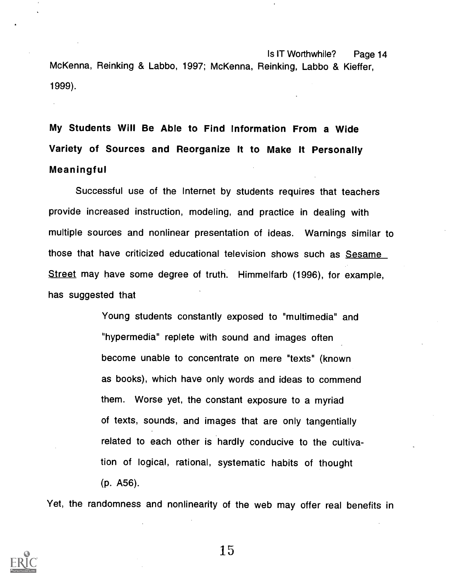Is IT Worthwhile? Page 14 McKenna, Reinking & Labbo, 1997; McKenna, Reinking, Labbo & Kieffer, 1999).

My Students Will Be Able to Find Information From a Wide Variety of Sources and Reorganize It to Make It Personally Meaningful

Successful use of the Internet by students requires that teachers provide increased instruction, modeling, and practice in dealing with multiple sources and nonlinear presentation of ideas. Warnings similar to those that have criticized educational television shows such as Sesame Street may have some degree of truth. Himmelfarb (1996), for example, has suggested that

> Young students constantly exposed to "multimedia" and "hypermedia" replete with sound and images often become unable to concentrate on mere "texts" (known as books), which have only words and ideas to commend them. Worse yet, the constant exposure to a myriad of texts, sounds, and images that are only tangentially related to each other is hardly conducive to the cultivation of logical, rational, systematic habits of thought (p. A56).

Yet, the randomness and nonlinearity of the web may offer real benefits in

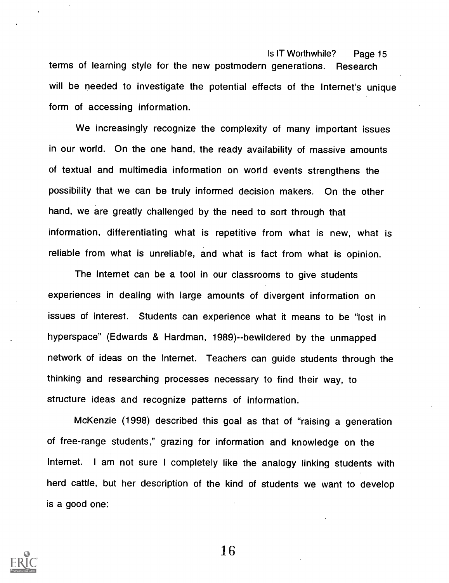Is IT Worthwhile? Page 15 terms of learning style for the new postmodern generations. Research will be needed to investigate the potential effects of the Internet's unique form of accessing information.

We increasingly recognize the complexity of many important issues in our world. On the one hand, the ready availability of massive amounts of textual and multimedia information on world events strengthens the possibility that we can be truly informed decision makers. On the other hand, we are greatly challenged by the need to sort through that information, differentiating what is repetitive from what is new, what is reliable from what is unreliable, and what is fact from what is opinion.

The Internet can be a tool in our classrooms to give students experiences in dealing with large amounts of divergent information on issues of interest. Students can experience what it means to be "lost in hyperspace" (Edwards & Hardman, 1989)--bewildered by the unmapped network of ideas on the Internet. Teachers can guide students through the thinking and researching processes necessary to find their way, to structure ideas and recognize patterns of information.

McKenzie (1998) described this goal as that of "raising a generation of free-range students," grazing for information and knowledge on the Internet. I am not sure <sup>I</sup> completely like the analogy linking students with herd cattle, but her description of the kind of students we want to develop is a good one:

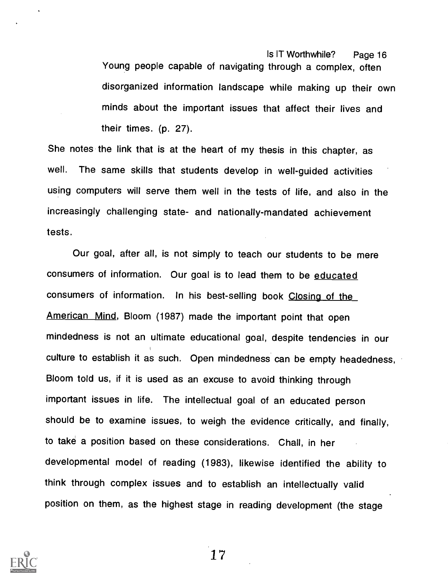Is IT Worthwhile? Page 16 Young people capable of navigating through a complex, often disorganized information landscape while making up their own minds about the important issues that affect their lives and their times. (p. 27).

She notes the link that is at the heart of my thesis in this chapter, as well. The same skills that students develop in well-guided activities using computers will serve them well in the tests of life, and also in the increasingly challenging state- and nationally-mandated achievement tests.

Our goal, after all, is not simply to teach our students to be mere consumers of information. Our goal is to lead them to be educated consumers of information. In his best-selling book Closing of the American Mind, Bloom (1987) made the important point that open mindedness is not an ultimate educational goal, despite tendencies in our culture to establish it as such. Open mindedness can be empty headedness, Bloom told us, if it is used as an excuse to avoid thinking through important issues in life. The intellectual goal of an educated person should be to examine issues, to weigh the evidence critically, and finally, to take a position based on these considerations. Chall, in her developmental model of reading (1983), likewise identified the ability to think through complex issues and to establish an intellectually valid position on them, as the highest stage in reading development (the stage

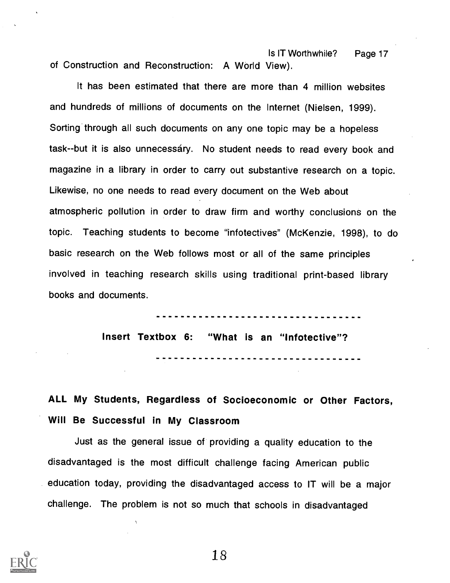Is IT Worthwhile? Page 17 of Construction and Reconstruction: A World View).

It has been estimated that there are more than 4 million websites and hundreds of millions of documents on the Internet (Nielsen, 1999). Sorting through all such documents on any one topic may be a hopeless task--but it is also unnecessáry. No student needs to read every book and magazine in a library in order to carry out substantive research on a topic. Likewise, no one needs to read every document on the Web about atmospheric pollution in order to draw firm and worthy conclusions on the topic. Teaching students to become "infotectives" (McKenzie, 1998), to do basic research on the Web follows most or all of the same principles involved in teaching research skills using traditional print-based library books and documents.

> Insert Textbox 6: "What is an "Infotective"?

ALL My Students, Regardless of Socioeconomic or Other Factors, Will Be Successful in My Classroom

Just as the general issue of providing a quality education to the disadvantaged is the most difficult challenge facing American public education today, providing the disadvantaged access to IT will be a major challenge. The problem is not so much that schools in disadvantaged

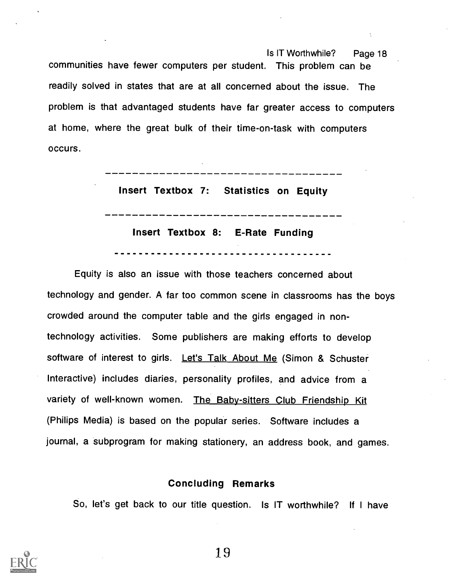Is IT Worthwhile? Page 18 communities have fewer computers per student. This problem can be readily solved in states that are at all concerned about the issue. The problem is that advantaged students have far greater access to computers at home, where the great bulk of their time-on-task with computers occurs.

Insert Textbox 7: Statistics on Equity

Insert Textbox 8: E-Rate Funding

Equity is also an issue with those teachers concerned about technology and gender. A far too common scene in classrooms has the boys crowded around the computer table and the girls engaged in nontechnology activities. Some publishers are making efforts to develop software of interest to girls. Let's Talk About Me (Simon & Schuster Interactive) includes diaries, personality profiles, and advice from a variety of well-known women. The Baby-sitters Club Friendship Kit (Philips Media) is based on the popular series. Software includes a journal, a subprogram for making stationery, an address book, and games.

### Concluding Remarks

So, let's get back to our title question. Is IT worthwhile? If I have

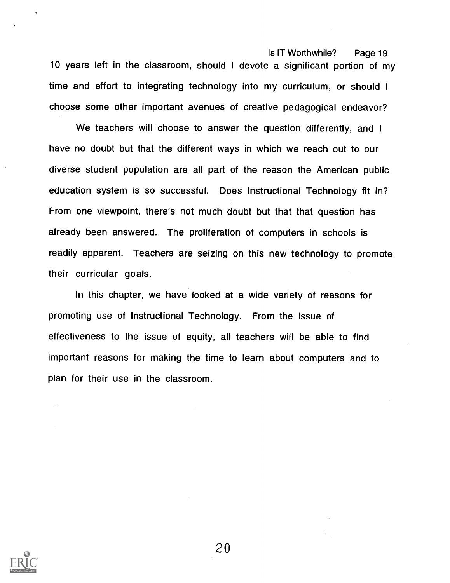Is IT Worthwhile? Page 19 10 years left in the classroom, should <sup>I</sup> devote a significant portion of my time and effort to integrating technology into my curriculum, or should <sup>I</sup> choose some other important avenues of creative pedagogical endeavor?

We teachers will choose to answer the question differently, and I have no doubt but that the different ways in which we reach out to our diverse student population are all part of the reason the American public education system is so successful. Does Instructional Technology fit in? From one viewpoint, there's not much doubt but that that question has already been answered. The proliferation of computers in schools is readily apparent. Teachers are seizing on this new technology to promote their curricular goals.

In this chapter, we have looked at a wide variety of reasons for promoting use of Instructional Technology. From the issue of effectiveness to the issue of equity, all teachers will be able to find important reasons for making the time to learn about computers and to plan for their use in the classroom.

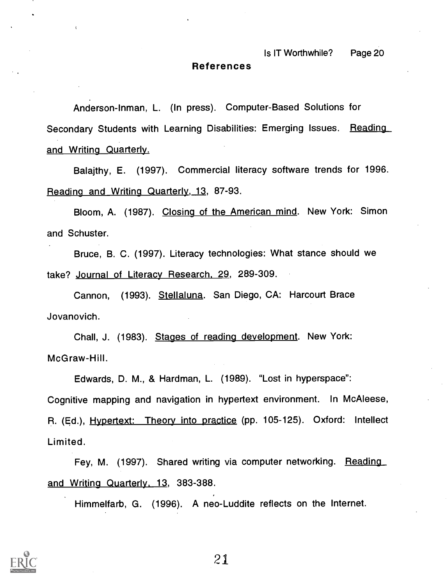#### References

Anderson-Inman, L. (In press). Computer-Based Solutions for Secondary Students with Learning Disabilities: Emerging Issues. Reading and Writing Quarterly.

Balajthy, E. (1997). Commercial literacy software trends for 1996. Reading and Writing Quarterly, 13, 87-93.

Bloom, A. (1987). Closing of the American mind. New York: Simon and Schuster.

Bruce, B. C. (1997). Literacy technologies: What stance should we take? Journal of Literacy Research, 29, 289-309.

Cannon, (1993). Stellaluna. San Diego, CA: Harcourt Brace Jovanovich.

Chall, J. (1983). Stages of reading development. New York: McGraw-Hill.

Edwards, D. M., & Hardman, L. (1989). "Lost in hyperspace": Cognitive mapping and navigation in hypertext environment. In McAleese, R. (Ed.), Hypertext: Theory into practice (pp. 105-125). Oxford: Intellect Limited.

Fey, M. (1997). Shared writing via computer networking. Reading and Writing Quarterly. 13, 383-388.

Himmelfarb, G. (1996). A neo-Luddite reflects on the Internet.

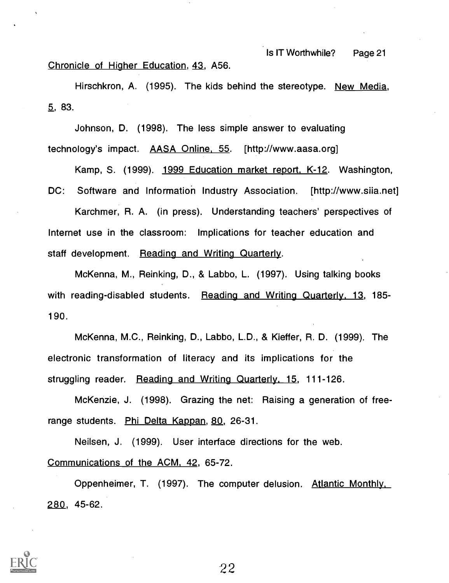Chronicle of Higher Education, 43, A56.

Hirschkron, A. (1995). The kids behind the stereotype. New Media, 5, 83.

Johnson, D. (1998). The less simple answer to evaluating technology's impact. AASA Online, 55. [http://www.aasa.org]

Kamp, S. (1999). 1999 Education market report. K-12. Washington, DC: Software and Information Industry Association. [http://www.siia.net]

Karchmer, R. A. (in press). Understanding teachers' perspectives of Internet use in the classroom: Implications for teacher education and staff development. Reading and Writing Quarterly.

McKenna, M., Reinking, D., & Labbo, L. (1997). Using talking books with reading-disabled students. Reading and Writing Quarterly, 13, 185-190.

McKenna, M.C., Reinking, D., Labbo, L.D., & Kieffer, R. D. (1999). The electronic transformation of literacy and its implications for the struggling reader. Reading and Writing Quarterly, 15, 111-126.

McKenzie, J. (1998). Grazing the net: Raising a generation of freerange students. Phi Delta Kappan, 80, 26-31.

Neilsen, J. (1999). User interface directions for the web. Communications of the ACM, 42, 65-72.

Oppenheimer, T. (1997). The computer delusion. Atlantic Monthly. 280, 45-62.

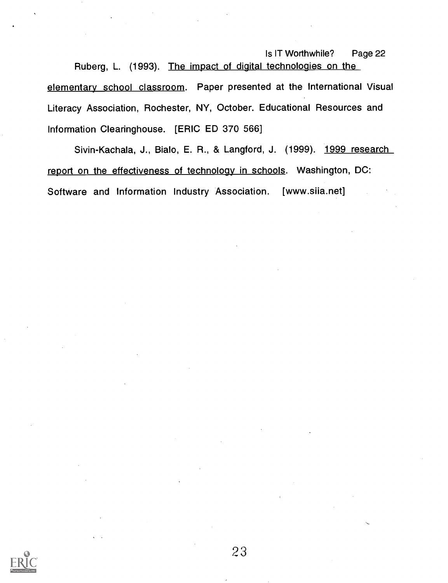Is IT Worthwhile? Page 22 Ruberg, L. (1993). The impact of digital technologies on the elementary school classroom. Paper presented at the International Visual Literacy Association, Rochester, NY, October. Educational Resources and Information Clearinghouse. [ERIC ED 370 566]

Sivin-Kachala, J., Bialo, E. R., & Langford, J. (1999). 1999 research report on the effectiveness of technoloay in schools. Washington, DC: Software and Information Industry Association. [www.siia.net]

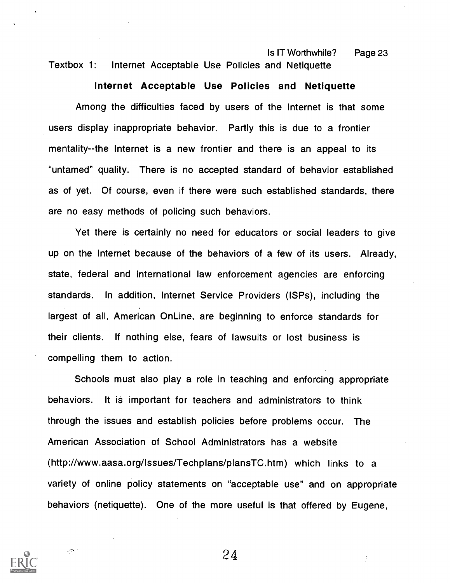Is IT Worthwhile? Page 23 Textbox 1: Internet Acceptable Use Policies and Netiquette

#### Internet Acceptable Use Policies and Netiquette

Among the difficulties faced by users of the Internet is that some users display inappropriate behavior. Partly this is due to a frontier mentality--the Internet is a new frontier and there is an appeal to its "untamed" quality. There is no accepted standard of behavior established as of yet. Of course, even if there were such established standards, there are no easy methods of policing such behaviors.

Yet there is certainly no need for educators or social leaders to give up on the Internet because of the behaviors of a few of its users. Already, state, federal and international law enforcement agencies are enforcing standards. In addition, Internet Service Providers (ISPs), including the largest of all, American OnLine, are beginning to enforce standards for their clients. If nothing else, fears of lawsuits or lost business is compelling them to action.

Schools must also play a role in teaching and enforcing appropriate behaviors. It is important for teachers and administrators to think through the issues and establish policies before problems occur. The American Association of School Administrators has a website (http://www.aasa.org/Issues/Techplans/plansTC.htm) which links to a variety of online policy statements on "acceptable use" and on appropriate behaviors (netiquette). One of the more useful is that offered by Eugene,



 $\sqrt{\sigma}$  .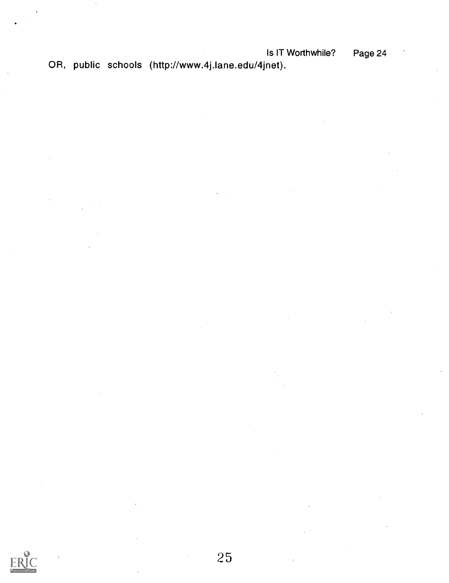OR, public schools (http://www.4j.lane.edu/4jnet).

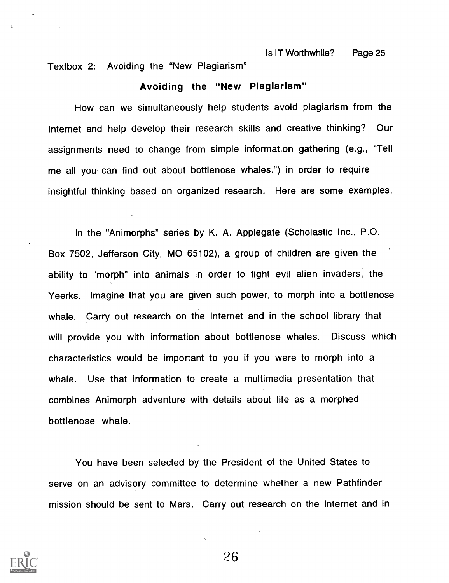Textbox 2: Avoiding the "New Plagiarism"

#### Avoiding the "New Plagiarism"

How can we simultaneously help students avoid plagiarism from the Internet and help develop their research skills and creative thinking? Our assignments need to change from simple information gathering (e.g., "Tell me all you can find out about bottlenose whales.") in order to require insightful thinking based on organized research. Here are some examples.

In the "Animorphs" series by K. A. Applegate (Scholastic Inc., P.O. Box 7502, Jefferson City, MO 65102), a group of children are given the ability to "morph" into animals in order to fight evil alien invaders, the Yeerks. Imagine that you are given such power, to morph into a bottlenose whale. Carry out research on the Internet and in the school library that will provide you with information about bottlenose whales. Discuss which characteristics would be important to you if you were to morph into a whale. Use that information to create a multimedia presentation that combines Animorph adventure with details about life as a morphed bottlenose whale.

You have been selected by the President of the United States to serve on an advisory committee to determine whether a new Pathfinder mission should be sent to Mars. Carry out research on the Internet and in

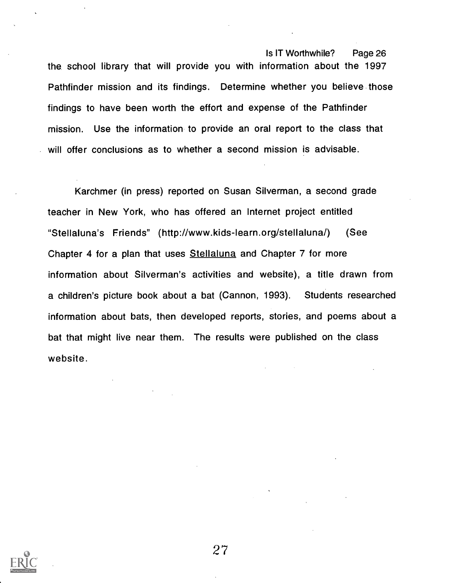Is IT Worthwhile? Page 26 the school library that will provide you with information about the 1997 Pathfinder mission and its findings. Determine whether you believe those findings to have been worth the effort and expense of the Pathfinder mission. Use the information to provide an oral report to the class that will offer conclusions as to whether a second mission is advisable.

Karchmer (in press) reported on Susan Silverman, a second grade teacher in New York, who has offered an Internet project entitled "Stellaluna's Friends" (http://www.kids-learn.org/stellaluna/) (See Chapter 4 for a plan that uses Stellaluna and Chapter 7 for more information about Silverman's activities and website), a title drawn from a children's picture book about a bat (Cannon, 1993). Students researched information about bats, then developed reports, stories, and poems about a bat that might live near them. The results were published on the class website.

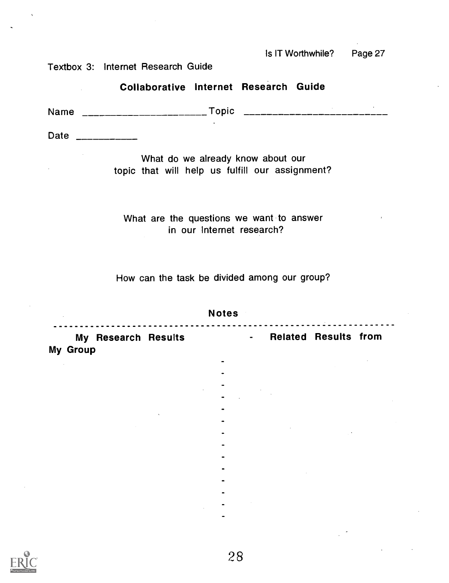Textbox 3: Internet Research Guide

Collaborative Internet Research Guide

Name Topic

Date \_\_\_\_\_\_\_\_\_\_

 $\mathcal{L}_{\text{max}}$ 

What do we already know about our topic that will help us fulfill our assignment?

What are the questions we want to answer in our Internet research?

How can the task be divided among our group?

|          |                     | <b>Notes</b> |                |                             |  |
|----------|---------------------|--------------|----------------|-----------------------------|--|
| My Group | My Research Results |              | $\blacksquare$ | <b>Related Results from</b> |  |
|          |                     |              |                |                             |  |
|          |                     |              |                |                             |  |
|          |                     |              |                |                             |  |
|          |                     |              |                |                             |  |
|          |                     |              |                |                             |  |
|          |                     |              |                |                             |  |
|          |                     |              |                |                             |  |
|          |                     |              |                |                             |  |
|          |                     |              |                |                             |  |
|          |                     |              |                |                             |  |
|          |                     |              |                |                             |  |
|          |                     |              |                |                             |  |
|          |                     |              |                |                             |  |
|          |                     |              |                |                             |  |
|          |                     |              |                |                             |  |
|          |                     |              |                |                             |  |

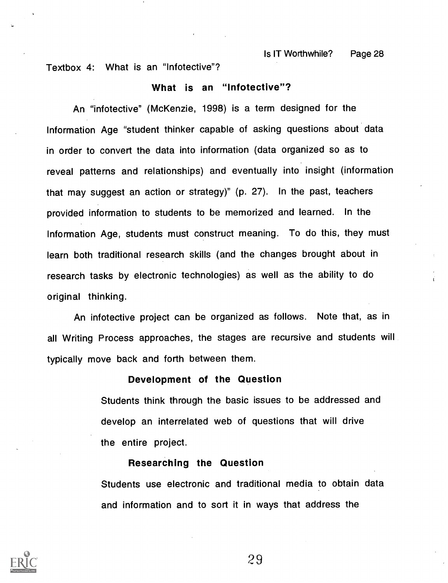Textbox 4: What is an "Infotective"?

#### What is an "Infotective"?

An "infotective" (McKenzie, 1998) is a term designed for the Information Age "student thinker capable of asking questions about data in order to convert the data into information (data organized so as to reveal patterns and relationships) and eventually into insight (information that may suggest an action or strategy)" (p. 27). In the past, teachers provided information to students to be memorized and learned. In the Information Age, students must construct meaning. To do this, they must learn both traditional research skills (and the changes brought about in research tasks by electronic technologies) as well as the ability to do original thinking.

An infotective project can be organized as follows. Note that, as in all Writing Process approaches, the stages are recursive and students will typically move back and forth between them.

#### Development of the Question

Students think through the basic issues to be addressed and develop an interrelated web of questions that will drive the entire project.

#### Researching the Question

Students use electronic and traditional media to obtain data and information and to sort it in ways that address the

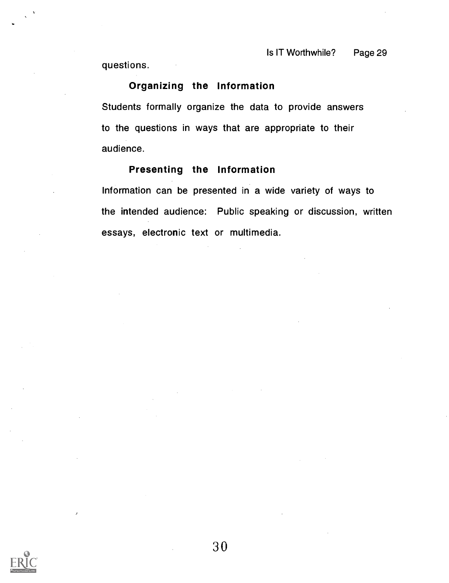questions.

# Organizing the Information

Students formally organize the data to provide answers to the questions in ways that are appropriate to their audience.

### Presenting the Information

Information can be presented in a wide variety of ways to the intended audience: Public speaking or discussion, written essays, electronic text or multimedia.

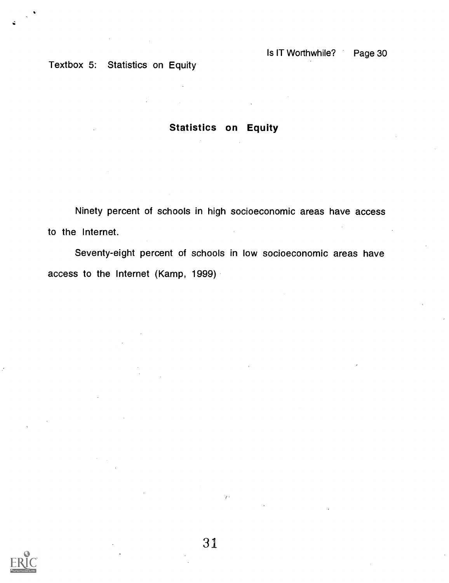Textbox 5: Statistics on Equity

# Statistics on Equity

Ninety percent of schools in high socioeconomic areas have access to the Internet.

Seventy-eight percent of schools in low socioeconomic areas have access to the Internet (Kamp, 1999)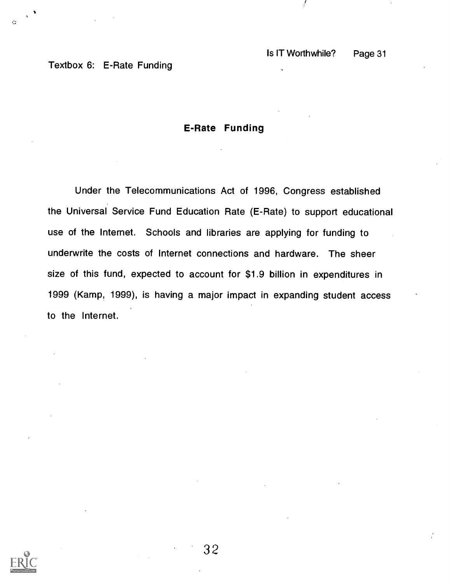# Textbox 6: E-Rate Funding

### E-Rate Funding

Under the Telecommunications Act of 1996, Congress established the Universal Service Fund Education Rate (E-Rate) to support educational use of the Internet. Schools and libraries are applying for funding to underwrite the costs of Internet connections and hardware. The sheer size of this fund, expected to account for \$1.9 billion in expenditures in 1999 (Kamp, 1999), is having a major impact in expanding student access to the Internet.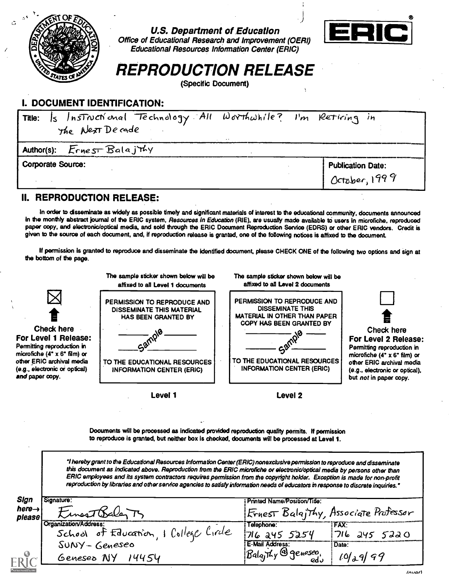

U.S. Department of Education



Office of Educational Research and Improvement (OERI) Educational Resources Information Center (ERIC)

# REPRODUCTION RELEASE

(Specific Document)

# I. DOCUMENT IDENTIFICATION:

| Is Instructional Technology All Worthwhile? I'm Retiring in<br><b>Title:</b><br>The ALEXT Decade | $\cdot$ . |                          |
|--------------------------------------------------------------------------------------------------|-----------|--------------------------|
| Author(s): $Ernes\text{-}Balaj\text{-}ky$                                                        |           |                          |
| <b>Corporate Source:</b>                                                                         |           | <b>Publication Date:</b> |
|                                                                                                  |           | October, $1999$          |

### II. REPRODUCTION RELEASE:

In order to disseminate as widely as possible timely and significant materials of interest to the educational community, documents announced in the monthly abstract journal of the ERIC system, Resources in Education (RIE), are usually made available to users in microfiche, reproduced paper copy, and electronic/optical made, and sold through the ERIC Document Reproduction Service (EDRS) or other ERIC vendors. Credit is given to the source of each document, and, if reproduction release is granted, one of the following notices is affixed to the document.

If permission is granted to reproduce and disseminate the identified document, please CHECK ONE of the following two options and sign at the bottom of the page.



Documents will be processed as indicated provided reproduction quality permits. If permission to reproduce is granted, but neither box is checked, documents will be processed at Level 1.

hereby grant to the Educational Resources Information Center (ERIC) nonexclusive permission to reproduce and disseminate this document as indicated above. Reproduction from the ERIC microfiche or electronic/optical media by persons other than ERIC employees and its system contractors requires permission from the copyright holder. Exception is made for non-profit reproduction by libraries and other service agencies to satisfy information needs of educators in response to discrete inquiries.'

| Sign                         | Signature:                            | Printed Name/Position/Title:        |                                      |
|------------------------------|---------------------------------------|-------------------------------------|--------------------------------------|
| here $\rightarrow$<br>please | tinesTDaler                           |                                     | Frnest Balajthy, Associate Professor |
|                              | Organization/Address:                 | :Telephone                          | FAX:                                 |
|                              | School of Education, 1 College Circle | 716 245 5254                        | 716 245 5220                         |
|                              | $SUNY - Geneseo$                      | E-Mail Address:                     | : Date:                              |
|                              | Genesed NY 14454                      | $B$ alaithy @ geneseo<br><u>وه،</u> | $10jo - 9j$ 99                       |